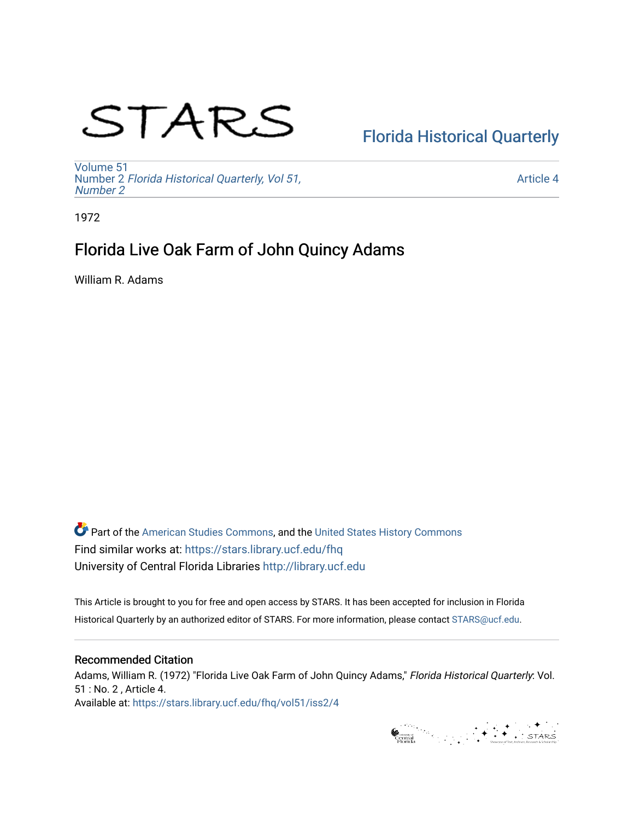# STARS

# [Florida Historical Quarterly](https://stars.library.ucf.edu/fhq)

[Volume 51](https://stars.library.ucf.edu/fhq/vol51) Number 2 [Florida Historical Quarterly, Vol 51,](https://stars.library.ucf.edu/fhq/vol51/iss2)  [Number 2](https://stars.library.ucf.edu/fhq/vol51/iss2)

[Article 4](https://stars.library.ucf.edu/fhq/vol51/iss2/4) 

1972

## Florida Live Oak Farm of John Quincy Adams

William R. Adams

**C** Part of the [American Studies Commons](http://network.bepress.com/hgg/discipline/439?utm_source=stars.library.ucf.edu%2Ffhq%2Fvol51%2Fiss2%2F4&utm_medium=PDF&utm_campaign=PDFCoverPages), and the United States History Commons Find similar works at: <https://stars.library.ucf.edu/fhq> University of Central Florida Libraries [http://library.ucf.edu](http://library.ucf.edu/) 

This Article is brought to you for free and open access by STARS. It has been accepted for inclusion in Florida Historical Quarterly by an authorized editor of STARS. For more information, please contact [STARS@ucf.edu.](mailto:STARS@ucf.edu)

## Recommended Citation

Adams, William R. (1972) "Florida Live Oak Farm of John Quincy Adams," Florida Historical Quarterly: Vol. 51 : No. 2 , Article 4. Available at: [https://stars.library.ucf.edu/fhq/vol51/iss2/4](https://stars.library.ucf.edu/fhq/vol51/iss2/4?utm_source=stars.library.ucf.edu%2Ffhq%2Fvol51%2Fiss2%2F4&utm_medium=PDF&utm_campaign=PDFCoverPages) 

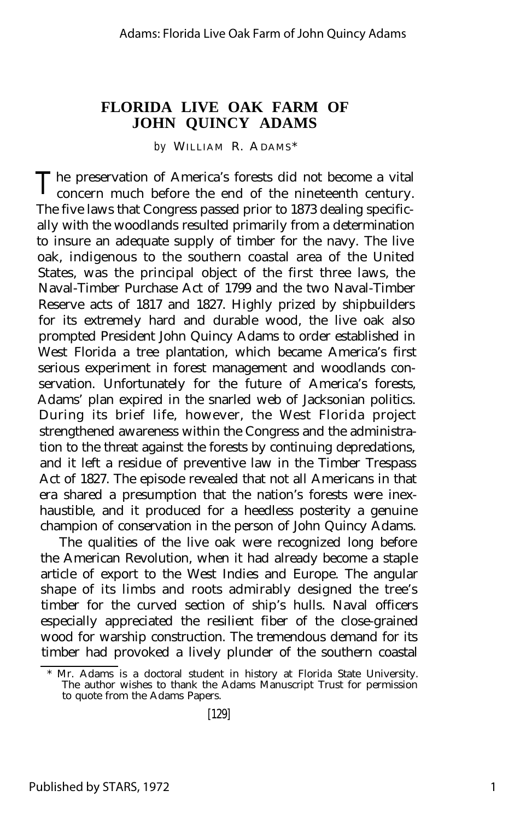### **FLORIDA LIVE OAK FARM OF JOHN QUINCY ADAMS**

by WILLIAM R. ADAMS\*

The preservation of America's forests did not become a vital<br>
concern much before the end of the nineteenth century. concern much before the end of the nineteenth century. The five laws that Congress passed prior to 1873 dealing specifically with the woodlands resulted primarily from a determination to insure an adequate supply of timber for the navy. The live oak, indigenous to the southern coastal area of the United States, was the principal object of the first three laws, the Naval-Timber Purchase Act of 1799 and the two Naval-Timber Reserve acts of 1817 and 1827. Highly prized by shipbuilders for its extremely hard and durable wood, the live oak also prompted President John Quincy Adams to order established in West Florida a tree plantation, which became America's first serious experiment in forest management and woodlands conservation. Unfortunately for the future of America's forests, Adams' plan expired in the snarled web of Jacksonian politics. During its brief life, however, the West Florida project strengthened awareness within the Congress and the administration to the threat against the forests by continuing depredations, and it left a residue of preventive law in the Timber Trespass Act of 1827. The episode revealed that not all Americans in that era shared a presumption that the nation's forests were inexhaustible, and it produced for a heedless posterity a genuine champion of conservation in the person of John Quincy Adams.

The qualities of the live oak were recognized long before the American Revolution, when it had already become a staple article of export to the West Indies and Europe. The angular shape of its limbs and roots admirably designed the tree's timber for the curved section of ship's hulls. Naval officers especially appreciated the resilient fiber of the close-grained wood for warship construction. The tremendous demand for its timber had provoked a lively plunder of the southern coastal

<sup>\*</sup> Mr. Adams is a doctoral student in history at Florida State University. The author wishes to thank the Adams Manuscript Trust for permission to quote from the Adams Papers.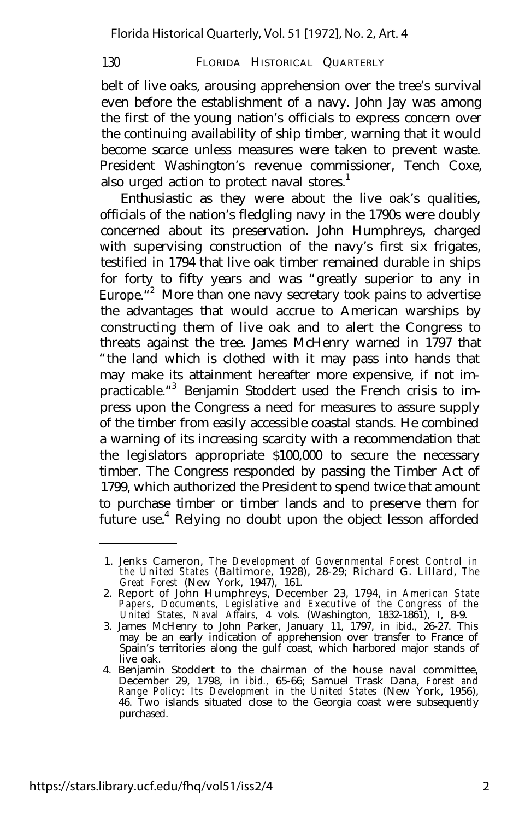belt of live oaks, arousing apprehension over the tree's survival even before the establishment of a navy. John Jay was among the first of the young nation's officials to express concern over the continuing availability of ship timber, warning that it would become scarce unless measures were taken to prevent waste. President Washington's revenue commissioner, Tench Coxe, also urged action to protect naval stores. $1$ 

Enthusiastic as they were about the live oak's qualities, officials of the nation's fledgling navy in the 1790s were doubly concerned about its preservation. John Humphreys, charged with supervising construction of the navy's first six frigates, testified in 1794 that live oak timber remained durable in ships for forty to fifty years and was "greatly superior to any in Europe."<sup>2</sup> More than one navy secretary took pains to advertise the advantages that would accrue to American warships by constructing them of live oak and to alert the Congress to threats against the tree. James McHenry warned in 1797 that "the land which is clothed with it may pass into hands that may make its attainment hereafter more expensive, if not impracticable."<sup>3</sup> Benjamin Stoddert used the French crisis to impress upon the Congress a need for measures to assure supply of the timber from easily accessible coastal stands. He combined a warning of its increasing scarcity with a recommendation that the legislators appropriate \$100,000 to secure the necessary timber. The Congress responded by passing the Timber Act of 1799, which authorized the President to spend twice that amount to purchase timber or timber lands and to preserve them for future use.<sup>4</sup> Relying no doubt upon the object lesson afforded

<sup>1.</sup> Jenks Cameron, *The Development of Governmental Forest Control in the United States* (Baltimore, 1928), 28-29; Richard G. Lillard, *The Great Forest* (New York, 1947), 161.

<sup>2.</sup> Report of John Humphreys, December 23, 1794, in *American State Papers, Documents, Legislative and Executive of the Congress of the United States, Naval Affairs,* 4 vols. (Washington, 1832-1861), I, 8-9.

<sup>3.</sup> James McHenry to John Parker, January 11, 1797, in *ibid.,* 26-27. This may be an early indication of apprehension over transfer to France of Spain's territories along the gulf coast, which harbored major stands of live oak.

<sup>4.</sup> Benjamin Stoddert to the chairman of the house naval committee, December 29, 1798, in *ibid.,* 65-66; Samuel Trask Dana, *Forest and Range Policy: Its Development in the United States* (New York, 1956), 46. Two islands situated close to the Georgia coast were subsequently purchased.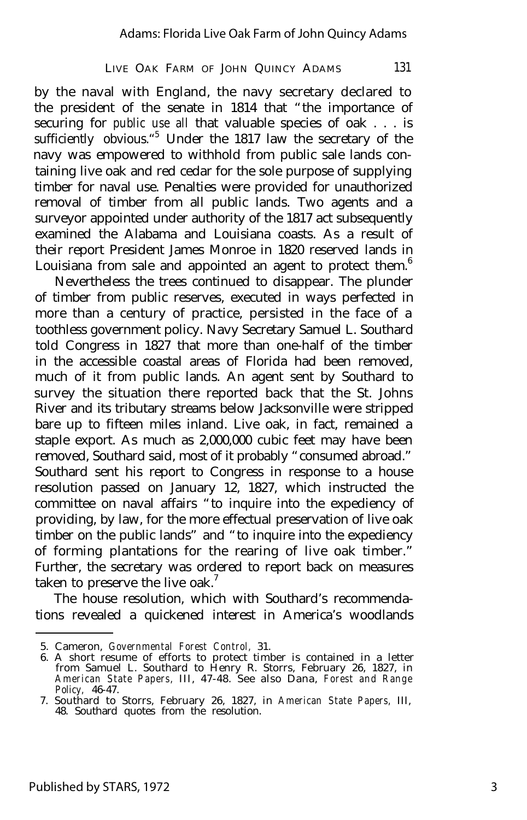by the naval with England, the navy secretary declared to the president of the senate in 1814 that "the importance of securing for *public use all* that valuable species of oak . . . is sufficiently obvious."<sup>5</sup> Under the 1817 law the secretary of the navy was empowered to withhold from public sale lands containing live oak and red cedar for the sole purpose of supplying timber for naval use. Penalties were provided for unauthorized removal of timber from all public lands. Two agents and a surveyor appointed under authority of the 1817 act subsequently examined the Alabama and Louisiana coasts. As a result of their report President James Monroe in 1820 reserved lands in Louisiana from sale and appointed an agent to protect them. $6$ 

Nevertheless the trees continued to disappear. The plunder of timber from public reserves, executed in ways perfected in more than a century of practice, persisted in the face of a toothless government policy. Navy Secretary Samuel L. Southard told Congress in 1827 that more than one-half of the timber in the accessible coastal areas of Florida had been removed, much of it from public lands. An agent sent by Southard to survey the situation there reported back that the St. Johns River and its tributary streams below Jacksonville were stripped bare up to fifteen miles inland. Live oak, in fact, remained a staple export. As much as 2,000,000 cubic feet may have been removed, Southard said, most of it probably "consumed abroad." Southard sent his report to Congress in response to a house resolution passed on January 12, 1827, which instructed the committee on naval affairs "to inquire into the expediency of providing, by law, for the more effectual preservation of live oak timber on the public lands" and "to inquire into the expediency of forming plantations for the rearing of live oak timber." Further, the secretary was ordered to report back on measures taken to preserve the live oak.<sup>7</sup>

The house resolution, which with Southard's recommendations revealed a quickened interest in America's woodlands

<sup>5.</sup> Cameron, *Governmental Forest Control,* 31.

<sup>6.</sup> A short resume of efforts to protect timber is contained in a letter from Samuel L. Southard to Henry R. Storrs, February 26, 1827, in *American State Papers,* III, 47-48. See also Dana, *Forest and Range Policy,* 46-47.

<sup>7.</sup> Southard to Storrs, February 26, 1827, in *American State Papers,* III, 48. Southard quotes from the resolution.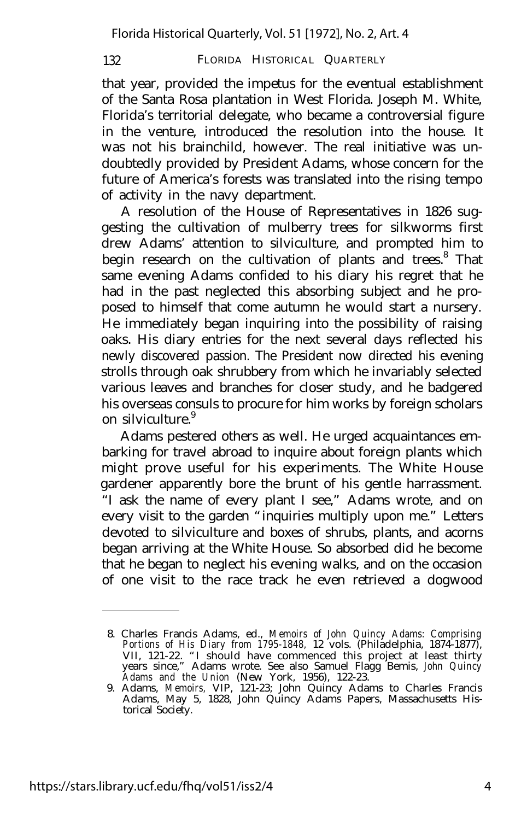that year, provided the impetus for the eventual establishment of the Santa Rosa plantation in West Florida. Joseph M. White, Florida's territorial delegate, who became a controversial figure in the venture, introduced the resolution into the house. It was not his brainchild, however. The real initiative was undoubtedly provided by President Adams, whose concern for the future of America's forests was translated into the rising tempo of activity in the navy department.

A resolution of the House of Representatives in 1826 suggesting the cultivation of mulberry trees for silkworms first drew Adams' attention to silviculture, and prompted him to begin research on the cultivation of plants and trees.<sup>8</sup> That same evening Adams confided to his diary his regret that he had in the past neglected this absorbing subject and he proposed to himself that come autumn he would start a nursery. He immediately began inquiring into the possibility of raising oaks. His diary entries for the next several days reflected his newly discovered passion. The President now directed his evening strolls through oak shrubbery from which he invariably selected various leaves and branches for closer study, and he badgered his overseas consuls to procure for him works by foreign scholars on silviculture<sup>9</sup>

Adams pestered others as well. He urged acquaintances embarking for travel abroad to inquire about foreign plants which might prove useful for his experiments. The White House gardener apparently bore the brunt of his gentle harrassment. "I ask the name of every plant I see," Adams wrote, and on every visit to the garden "inquiries multiply upon me." Letters devoted to silviculture and boxes of shrubs, plants, and acorns began arriving at the White House. So absorbed did he become that he began to neglect his evening walks, and on the occasion of one visit to the race track he even retrieved a dogwood

<sup>8.</sup> Charles Francis Adams, ed., *Memoirs of John Quincy Adams: Comprising Portions of His Diary from 1795-1848,* 12 vols. (Philadelphia, 1874-1877), VII, 121-22. "I should have commenced this project at least thirty years since," Adams wrote. See also Samuel Flagg Bemis, *John Quincy Adams and the Union* (New York, 1956), 122-23.

<sup>9.</sup> Adams, *Memoirs,* VIP, 121-23; John Quincy Adams to Charles Francis Adams, May 5, 1828, John Quincy Adams Papers, Massachusetts Historical Society.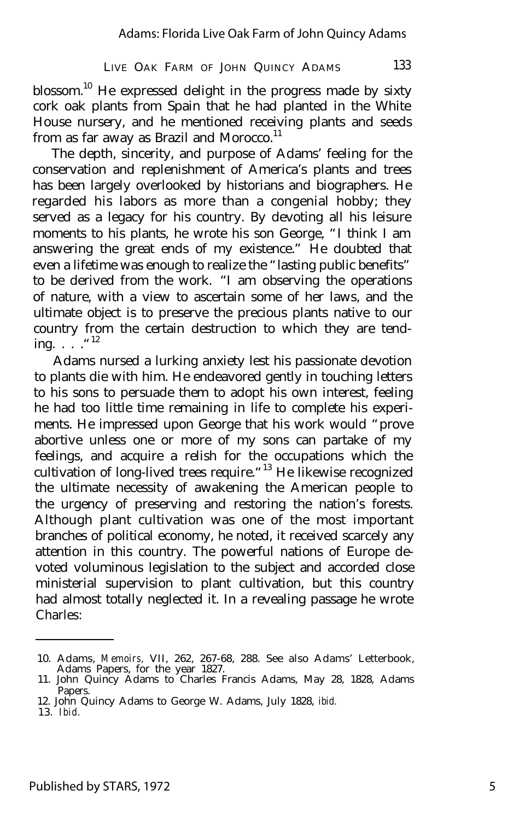blossom.<sup>10</sup> He expressed delight in the progress made by sixty cork oak plants from Spain that he had planted in the White House nursery, and he mentioned receiving plants and seeds from as far away as Brazil and Morocco. $11$ 

The depth, sincerity, and purpose of Adams' feeling for the conservation and replenishment of America's plants and trees has been largely overlooked by historians and biographers. He regarded his labors as more than a congenial hobby; they served as a legacy for his country. By devoting all his leisure moments to his plants, he wrote his son George, "I think I am answering the great ends of my existence." He doubted that even a lifetime was enough to realize the "lasting public benefits" to be derived from the work. "I am observing the operations of nature, with a view to ascertain some of her laws, and the ultimate object is to preserve the precious plants native to our country from the certain destruction to which they are tending.  $\ldots$  .  $\overset{6}{\ldots}$ 

Adams nursed a lurking anxiety lest his passionate devotion to plants die with him. He endeavored gently in touching letters to his sons to persuade them to adopt his own interest, feeling he had too little time remaining in life to complete his experiments. He impressed upon George that his work would "prove abortive unless one or more of my sons can partake of my feelings, and acquire a relish for the occupations which the cultivation of long-lived trees require."<sup>13</sup> He likewise recognized the ultimate necessity of awakening the American people to the urgency of preserving and restoring the nation's forests. Although plant cultivation was one of the most important branches of political economy, he noted, it received scarcely any attention in this country. The powerful nations of Europe devoted voluminous legislation to the subject and accorded close ministerial supervision to plant cultivation, but this country had almost totally neglected it. In a revealing passage he wrote Charles:

<sup>10.</sup> Adams, *Memoirs,* VII, 262, 267-68, 288. See also Adams' Letterbook, Adams Papers, for the year 1827.

<sup>11.</sup> John Quincy Adams to Charles Francis Adams, May 28, 1828, Adams Papers.

<sup>12.</sup> John Quincy Adams to George W. Adams, July 1828, *ibid.*

<sup>13.</sup> *Ibid.*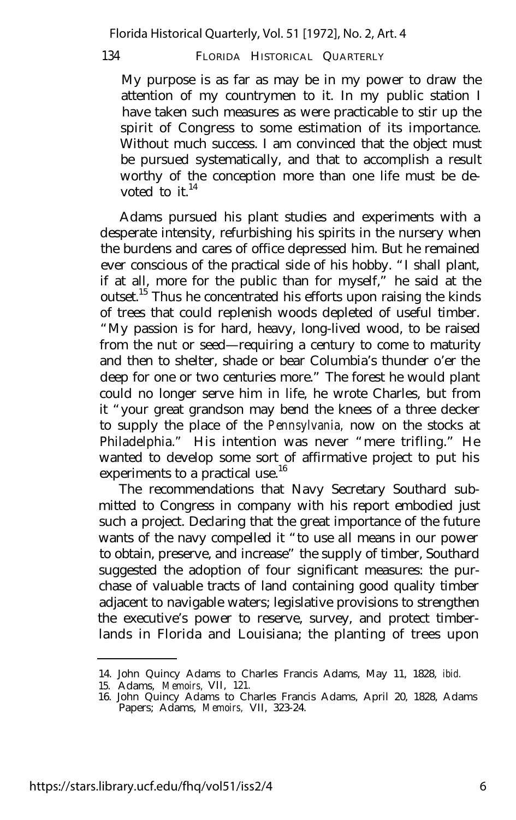Florida Historical Quarterly, Vol. 51 [1972], No. 2, Art. 4

134 FLORIDA HISTORICAL QUARTERLY

My purpose is as far as may be in my power to draw the attention of my countrymen to it. In my public station I have taken such measures as were practicable to stir up the spirit of Congress to some estimation of its importance. Without much success. I am convinced that the object must be pursued systematically, and that to accomplish a result worthy of the conception more than one life must be devoted to it.<sup>14</sup>

Adams pursued his plant studies and experiments with a desperate intensity, refurbishing his spirits in the nursery when the burdens and cares of office depressed him. But he remained ever conscious of the practical side of his hobby. "I shall plant, if at all, more for the public than for myself," he said at the outset.<sup>15</sup> Thus he concentrated his efforts upon raising the kinds of trees that could replenish woods depleted of useful timber. "My passion is for hard, heavy, long-lived wood, to be raised from the nut or seed— requiring a century to come to maturity and then to shelter, shade or bear Columbia's thunder o'er the deep for one or two centuries more." The forest he would plant could no longer serve him in life, he wrote Charles, but from it "your great grandson may bend the knees of a three decker to supply the place of the *Pennsylvania,* now on the stocks at Philadelphia." His intention was never "mere trifling." He wanted to develop some sort of affirmative project to put his experiments to a practical use. $16$ 

The recommendations that Navy Secretary Southard submitted to Congress in company with his report embodied just such a project. Declaring that the great importance of the future wants of the navy compelled it "to use all means in our power to obtain, preserve, and increase" the supply of timber, Southard suggested the adoption of four significant measures: the purchase of valuable tracts of land containing good quality timber adjacent to navigable waters; legislative provisions to strengthen the executive's power to reserve, survey, and protect timberlands in Florida and Louisiana; the planting of trees upon

<sup>14.</sup> John Quincy Adams to Charles Francis Adams, May 11, 1828, *ibid.*

<sup>15.</sup> Adams, *Memoirs,* VII, 121.

<sup>16.</sup> John Quincy Adams to Charles Francis Adams, April 20, 1828, Adams Papers; Adams, *Memoirs,* VII, 323-24.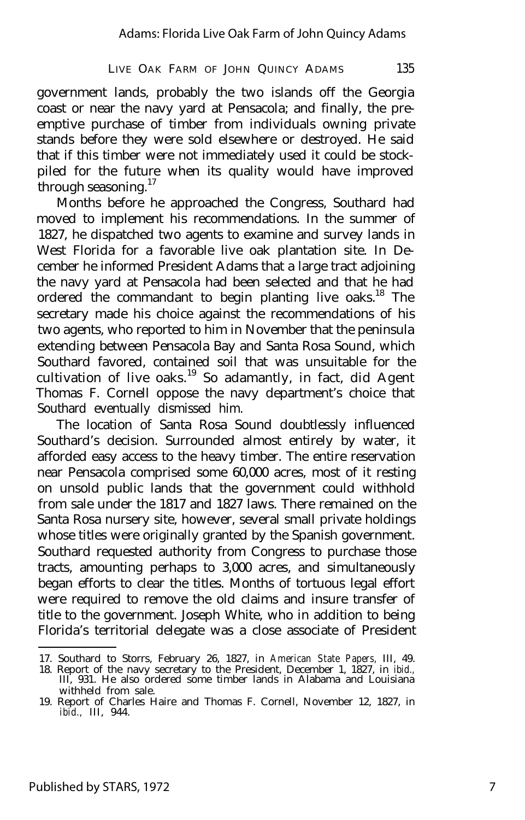government lands, probably the two islands off the Georgia coast or near the navy yard at Pensacola; and finally, the preemptive purchase of timber from individuals owning private stands before they were sold elsewhere or destroyed. He said that if this timber were not immediately used it could be stockpiled for the future when its quality would have improved through seasoning.<sup>17</sup>

Months before he approached the Congress, Southard had moved to implement his recommendations. In the summer of 1827, he dispatched two agents to examine and survey lands in West Florida for a favorable live oak plantation site. In December he informed President Adams that a large tract adjoining the navy yard at Pensacola had been selected and that he had ordered the commandant to begin planting live oaks.<sup>18</sup> The secretary made his choice against the recommendations of his two agents, who reported to him in November that the peninsula extending between Pensacola Bay and Santa Rosa Sound, which Southard favored, contained soil that was unsuitable for the cultivation of live oaks.<sup>19</sup> So adamantly, in fact, did Agent Thomas F. Cornell oppose the navy department's choice that Southard eventually dismissed him.

The location of Santa Rosa Sound doubtlessly influenced Southard's decision. Surrounded almost entirely by water, it afforded easy access to the heavy timber. The entire reservation near Pensacola comprised some 60,000 acres, most of it resting on unsold public lands that the government could withhold from sale under the 1817 and 1827 laws. There remained on the Santa Rosa nursery site, however, several small private holdings whose titles were originally granted by the Spanish government. Southard requested authority from Congress to purchase those tracts, amounting perhaps to 3,000 acres, and simultaneously began efforts to clear the titles. Months of tortuous legal effort were required to remove the old claims and insure transfer of title to the government. Joseph White, who in addition to being Florida's territorial delegate was a close associate of President

<sup>17.</sup> Southard to Storrs, February 26, 1827, in *American State Papers,* III, 49.

<sup>18.</sup> Report of the navy secretary to the President, December 1, 1827, in *ibid.,* III, 931. He also ordered some timber lands in Alabama and Louisiana withheld from sale.

<sup>19.</sup> Report of Charles Haire and Thomas F. Cornell, November 12, 1827, in *ibid.,* III, 944.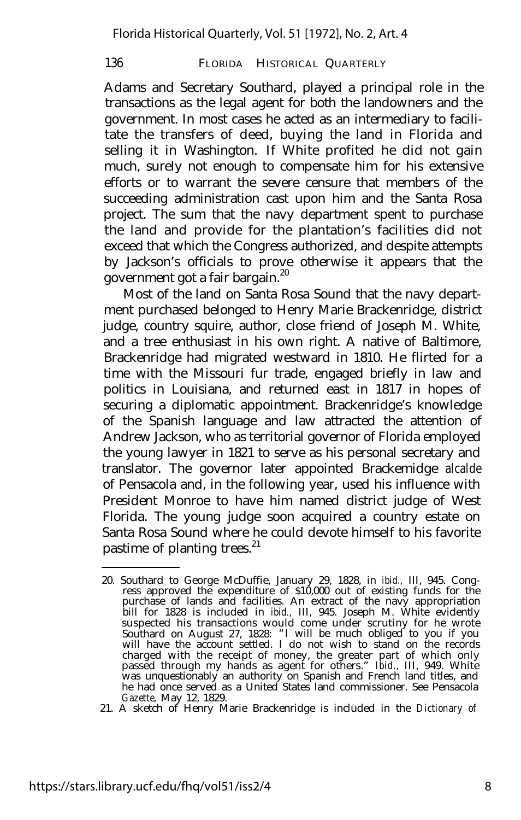Adams and Secretary Southard, played a principal role in the transactions as the legal agent for both the landowners and the government. In most cases he acted as an intermediary to facilitate the transfers of deed, buying the land in Florida and selling it in Washington. If White profited he did not gain much, surely not enough to compensate him for his extensive efforts or to warrant the severe censure that members of the succeeding administration cast upon him and the Santa Rosa project. The sum that the navy department spent to purchase the land and provide for the plantation's facilities did not exceed that which the Congress authorized, and despite attempts by Jackson's officials to prove otherwise it appears that the government got a fair bargain.<sup>20</sup>

Most of the land on Santa Rosa Sound that the navy department purchased belonged to Henry Marie Brackenridge, district judge, country squire, author, close friend of Joseph M. White, and a tree enthusiast in his own right. A native of Baltimore, Brackenridge had migrated westward in 1810. He flirted for a time with the Missouri fur trade, engaged briefly in law and politics in Louisiana, and returned east in 1817 in hopes of securing a diplomatic appointment. Brackenridge's knowledge of the Spanish language and law attracted the attention of Andrew Jackson, who as territorial governor of Florida employed the young lawyer in 1821 to serve as his personal secretary and translator. The governor later appointed Brackemidge *alcalde* of Pensacola and, in the following year, used his influence with President Monroe to have him named district judge of West Florida. The young judge soon acquired a country estate on Santa Rosa Sound where he could devote himself to his favorite pastime of planting trees.<sup>21</sup>

<sup>20.</sup> Southard to George McDuffie, January 29, 1828, in *ibid.,* III, 945. Cong-ress approved the expenditure of \$10,000 out of existing funds for the purchase of lands and facilities. An extract of the navy appropriation bill for 1828 is included in *ibid.,* III, 945. Joseph M. White evidently suspected his transactions would come under scrutiny for he wrote Southard on August 27, 1828: "I will be much obliged to you if you will have the account settled. I do not wish to stand on the records charged with the receipt of money, the greater part of which only passed through my hands as agent for others." *Ibid.,* III, 949. White was unquestionably an authority on Spanish and French land titles, and he had once served as a United States land commissioner. See Pensacola

*Gazette,* May 12, 1829. 21. A sketch of Henry Marie Brackenridge is included in the *Dictionary of*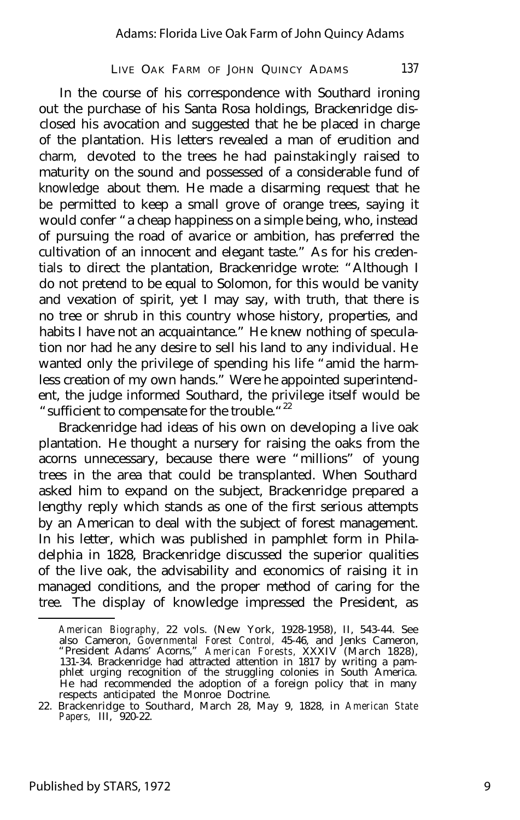In the course of his correspondence with Southard ironing out the purchase of his Santa Rosa holdings, Brackenridge disclosed his avocation and suggested that he be placed in charge of the plantation. His letters revealed a man of erudition and charm, devoted to the trees he had painstakingly raised to maturity on the sound and possessed of a considerable fund of knowledge about them. He made a disarming request that he be permitted to keep a small grove of orange trees, saying it would confer "a cheap happiness on a simple being, who, instead of pursuing the road of avarice or ambition, has preferred the cultivation of an innocent and elegant taste." As for his credentials to direct the plantation, Brackenridge wrote: "Although I do not pretend to be equal to Solomon, for this would be vanity and vexation of spirit, yet I may say, with truth, that there is no tree or shrub in this country whose history, properties, and habits I have not an acquaintance." He knew nothing of speculation nor had he any desire to sell his land to any individual. He wanted only the privilege of spending his life "amid the harmless creation of my own hands." Were he appointed superintendent, the judge informed Southard, the privilege itself would be " sufficient to compensate for the trouble."<sup>22</sup>

Brackenridge had ideas of his own on developing a live oak plantation. He thought a nursery for raising the oaks from the acorns unnecessary, because there were "millions" of young trees in the area that could be transplanted. When Southard asked him to expand on the subject, Brackenridge prepared a lengthy reply which stands as one of the first serious attempts by an American to deal with the subject of forest management. In his letter, which was published in pamphlet form in Philadelphia in 1828, Brackenridge discussed the superior qualities of the live oak, the advisability and economics of raising it in managed conditions, and the proper method of caring for the tree. The display of knowledge impressed the President, as

*American Biography,* 22 vols. (New York, 1928-1958), II, 543-44. See also Cameron, *Governmental Forest Control,* 45-46, and Jenks Cameron, "President Adams' Acorns," *American Forests,* XXXIV (March 1828), 131-34. Brackenridge had attracted attention in 1817 by writing a pamphlet urging recognition of the struggling colonies in South America. He had recommended the adoption of a foreign policy that in many respects anticipated the Monroe Doctrine.

<sup>22.</sup> Brackenridge to Southard, March 28, May 9, 1828, in *American State Papers,* III, 920-22.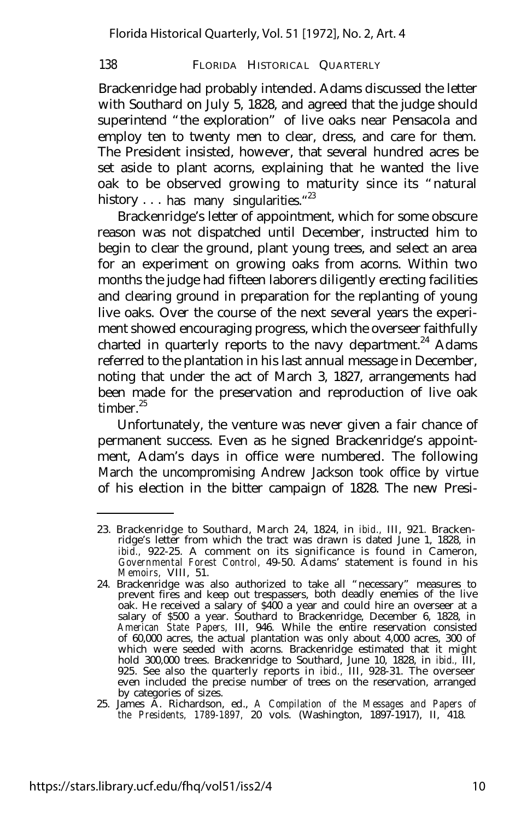Brackenridge had probably intended. Adams discussed the letter with Southard on July 5, 1828, and agreed that the judge should superintend "the exploration" of live oaks near Pensacola and employ ten to twenty men to clear, dress, and care for them. The President insisted, however, that several hundred acres be set aside to plant acorns, explaining that he wanted the live oak to be observed growing to maturity since its "natural history . . . has many singularities. "23

Brackenridge's letter of appointment, which for some obscure reason was not dispatched until December, instructed him to begin to clear the ground, plant young trees, and select an area for an experiment on growing oaks from acorns. Within two months the judge had fifteen laborers diligently erecting facilities and clearing ground in preparation for the replanting of young live oaks. Over the course of the next several years the experiment showed encouraging progress, which the overseer faithfully charted in quarterly reports to the navy department.<sup>24</sup> Adams referred to the plantation in his last annual message in December, noting that under the act of March 3, 1827, arrangements had been made for the preservation and reproduction of live oak timber.<sup>25</sup>

Unfortunately, the venture was never given a fair chance of permanent success. Even as he signed Brackenridge's appointment, Adam's days in office were numbered. The following March the uncompromising Andrew Jackson took office by virtue of his election in the bitter campaign of 1828. The new Presi-

<sup>23.</sup> Brackenridge to Southard, March 24, 1824, in *ibid.,* III, 921. Brackenridge's letter from which the tract was drawn is dated June 1, 1828, in *ibid.,* 922-25. A comment on its significance is found in Cameron, *Governmental Forest Control,* 49-50. Adams' statement is found in his *Memoirs,* VIII, 51.

<sup>24.</sup> Brackenridge was also authorized to take all "necessary" measures to prevent fires and keep out trespassers, both deadly enemies of the live oak. He received a salary of \$400 a year and could hire an overseer at a salary of \$500 a year. Southard to Brackenridge, December 6, 1828, in *American State Papers,* III, 946. While the entire reservation consisted of 60,000 acres, the actual plantation was only about 4,000 acres, 300 of which were seeded with acorns. Brackenridge estimated that it might hold 300,000 trees. Brackenridge to Southard, June 10, 1828, in *ibid.,* III, 925. See also the quarterly reports in *ibid.,* III, 928-31. The overseer even included the precise number of trees on the reservation, arranged by categories of sizes.

<sup>25.</sup> James A. Richardson, ed., *A Compilation of the Messages and Papers of the Presidents, 1789-1897,* 20 vols. (Washington, 1897-1917), II, 418.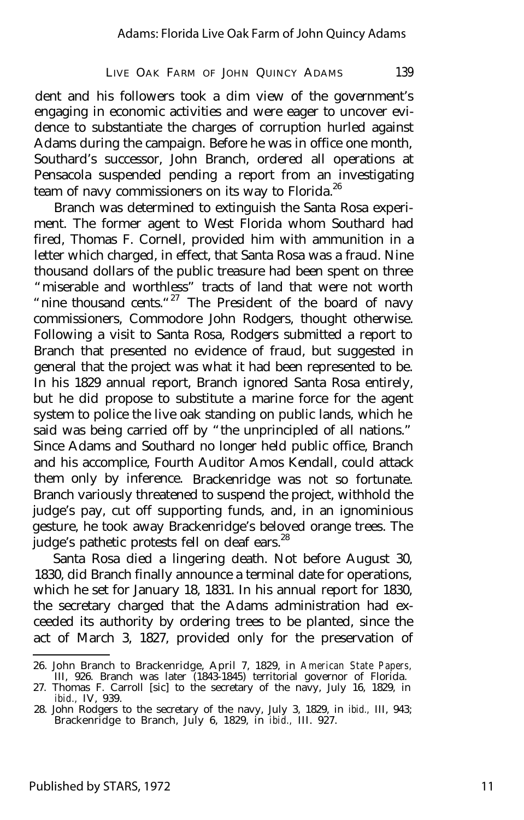dent and his followers took a dim view of the government's engaging in economic activities and were eager to uncover evidence to substantiate the charges of corruption hurled against Adams during the campaign. Before he was in office one month, Southard's successor, John Branch, ordered all operations at Pensacola suspended pending a report from an investigating team of navy commissioners on its way to Florida.<sup>26</sup>

Branch was determined to extinguish the Santa Rosa experiment. The former agent to West Florida whom Southard had fired, Thomas F. Cornell, provided him with ammunition in a letter which charged, in effect, that Santa Rosa was a fraud. Nine thousand dollars of the public treasure had been spent on three "miserable and worthless" tracts of land that were not worth "nine thousand cents."<sup>27</sup> The President of the board of navy commissioners, Commodore John Rodgers, thought otherwise. Following a visit to Santa Rosa, Rodgers submitted a report to Branch that presented no evidence of fraud, but suggested in general that the project was what it had been represented to be. In his 1829 annual report, Branch ignored Santa Rosa entirely, but he did propose to substitute a marine force for the agent system to police the live oak standing on public lands, which he said was being carried off by "the unprincipled of all nations." Since Adams and Southard no longer held public office, Branch and his accomplice, Fourth Auditor Amos Kendall, could attack them only by inference. Brackenridge was not so fortunate. Branch variously threatened to suspend the project, withhold the judge's pay, cut off supporting funds, and, in an ignominious gesture, he took away Brackenridge's beloved orange trees. The judge's pathetic protests fell on deaf ears.<sup>28</sup>

Santa Rosa died a lingering death. Not before August 30, 1830, did Branch finally announce a terminal date for operations, which he set for January 18, 1831. In his annual report for 1830, the secretary charged that the Adams administration had exceeded its authority by ordering trees to be planted, since the act of March 3, 1827, provided only for the preservation of

<sup>26.</sup> John Branch to Brackenridge, April 7, 1829, in *American State Papers,* III, 926. Branch was later (1843-1845) territorial governor of Florida.

<sup>27.</sup> Thomas F. Carroll [sic] to the secretary of the navy, July 16, 1829, in *ibid.,* IV, 939.

<sup>28.</sup> John Rodgers to the secretary of the navy, July 3, 1829, in *ibid.,* III, 943; Brackenridge to Branch, July 6, 1829, in *ibid.,* III. 927.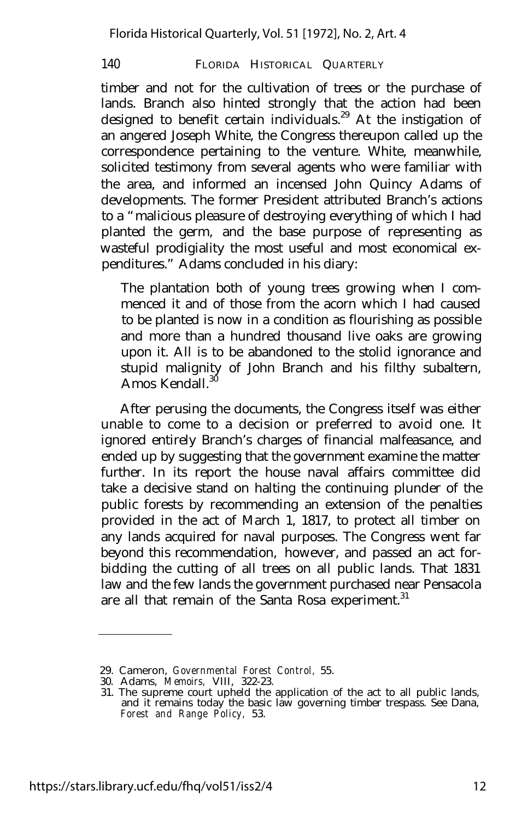timber and not for the cultivation of trees or the purchase of lands. Branch also hinted strongly that the action had been designed to benefit certain individuals.<sup>29</sup> At the instigation of an angered Joseph White, the Congress thereupon called up the correspondence pertaining to the venture. White, meanwhile, solicited testimony from several agents who were familiar with the area, and informed an incensed John Quincy Adams of developments. The former President attributed Branch's actions to a "malicious pleasure of destroying everything of which I had planted the germ, and the base purpose of representing as wasteful prodigiality the most useful and most economical expenditures." Adams concluded in his diary:

The plantation both of young trees growing when I commenced it and of those from the acorn which I had caused to be planted is now in a condition as flourishing as possible and more than a hundred thousand live oaks are growing upon it. All is to be abandoned to the stolid ignorance and stupid malignity of John Branch and his filthy subaltern, Amos Kendall $30$ 

After perusing the documents, the Congress itself was either unable to come to a decision or preferred to avoid one. It ignored entirely Branch's charges of financial malfeasance, and ended up by suggesting that the government examine the matter further. In its report the house naval affairs committee did take a decisive stand on halting the continuing plunder of the public forests by recommending an extension of the penalties provided in the act of March 1, 1817, to protect all timber on any lands acquired for naval purposes. The Congress went far beyond this recommendation, however, and passed an act forbidding the cutting of all trees on all public lands. That 1831 law and the few lands the government purchased near Pensacola are all that remain of the Santa Rosa experiment.<sup>31</sup>

<sup>29.</sup> Cameron, *Governmental Forest Control,* 55.

<sup>30.</sup> Adams, *Memoirs,* VIII, 322-23.

<sup>31.</sup> The supreme court upheld the application of the act to all public lands, and it remains today the basic law governing timber trespass. See Dana, *Forest and Range Policy,* 53.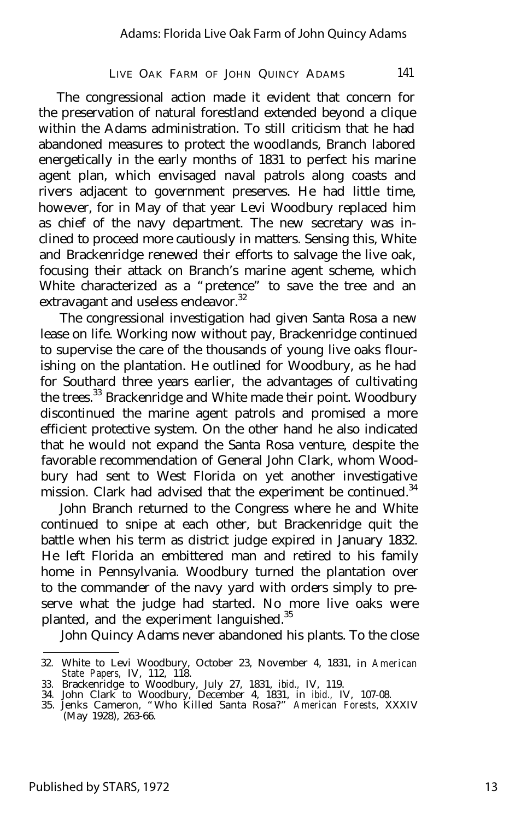The congressional action made it evident that concern for the preservation of natural forestland extended beyond a clique within the Adams administration. To still criticism that he had abandoned measures to protect the woodlands, Branch labored energetically in the early months of 1831 to perfect his marine agent plan, which envisaged naval patrols along coasts and rivers adjacent to government preserves. He had little time, however, for in May of that year Levi Woodbury replaced him as chief of the navy department. The new secretary was inclined to proceed more cautiously in matters. Sensing this, White and Brackenridge renewed their efforts to salvage the live oak, focusing their attack on Branch's marine agent scheme, which White characterized as a "pretence" to save the tree and an extravagant and useless endeavor.<sup>32</sup>

The congressional investigation had given Santa Rosa a new lease on life. Working now without pay, Brackenridge continued to supervise the care of the thousands of young live oaks flourishing on the plantation. He outlined for Woodbury, as he had for Southard three years earlier, the advantages of cultivating the trees.<sup>33</sup> Brackenridge and White made their point. Woodbury discontinued the marine agent patrols and promised a more efficient protective system. On the other hand he also indicated that he would not expand the Santa Rosa venture, despite the favorable recommendation of General John Clark, whom Woodbury had sent to West Florida on yet another investigative mission. Clark had advised that the experiment be continued.<sup>34</sup>

John Branch returned to the Congress where he and White continued to snipe at each other, but Brackenridge quit the battle when his term as district judge expired in January 1832. He left Florida an embittered man and retired to his family home in Pennsylvania. Woodbury turned the plantation over to the commander of the navy yard with orders simply to preserve what the judge had started. No more live oaks were planted, and the experiment languished.<sup>35</sup>

John Quincy Adams never abandoned his plants. To the close

<sup>32.</sup> White to Levi Woodbury, October 23, November 4, 1831, in *American State Papers,* IV, 112, 118.

<sup>33.</sup> Brackenridge to Woodbury, July 27, 1831, *ibid.,* IV, 119. 34. John Clark to Woodbury, December 4, 1831, in *ibid.,* IV, 107-08.

<sup>35.</sup> Jenks Cameron, "Who Killed Santa Rosa?" *American Forests,* XXXIV (May 1928), 263-66.